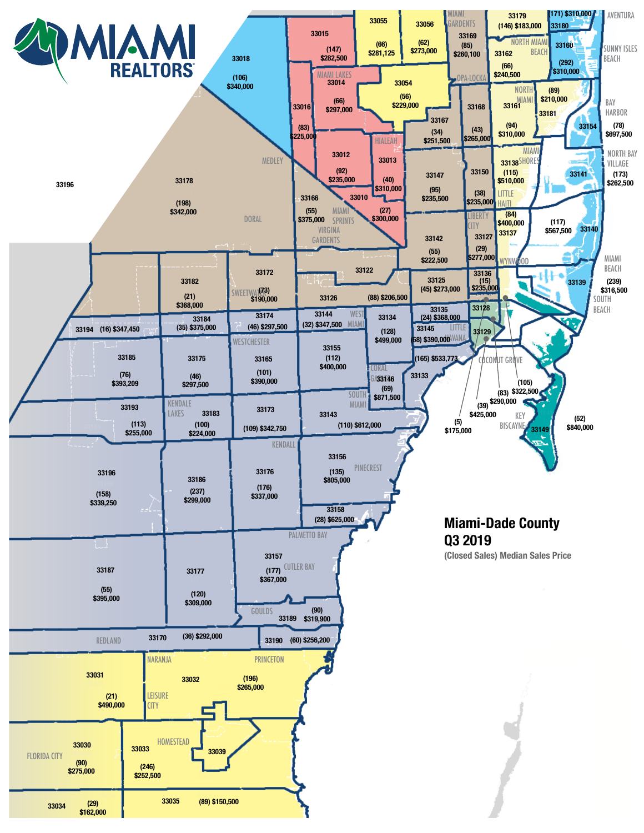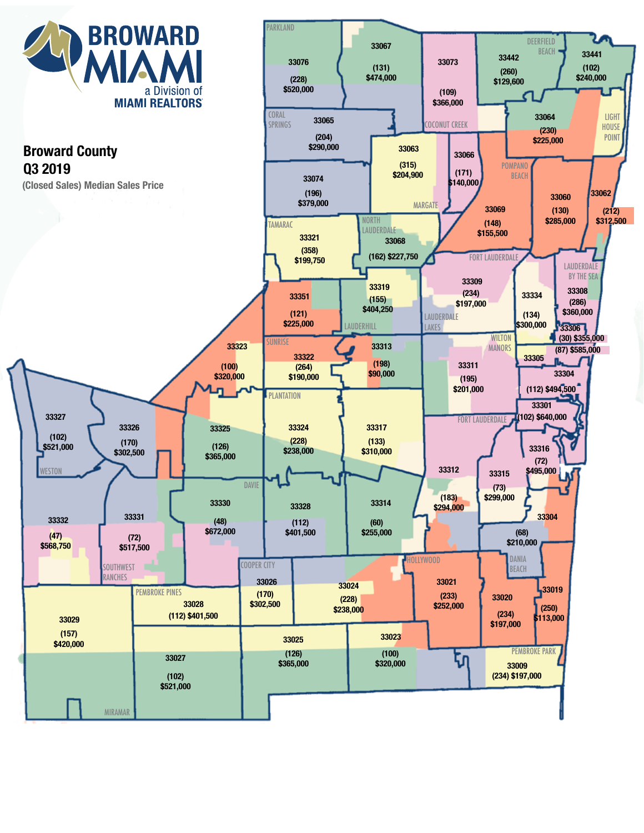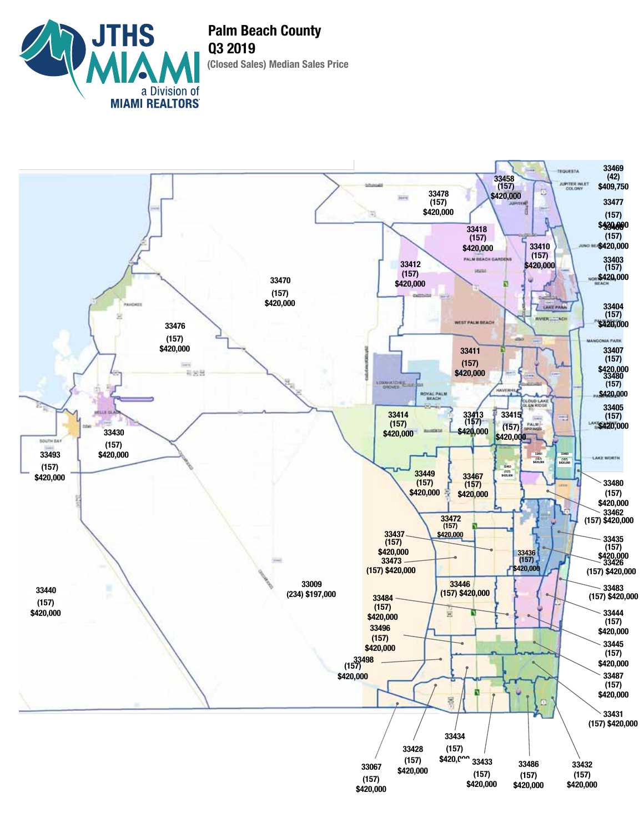

**(Closed Sales) Median Sales Price Palm Beach County Q3 2019**